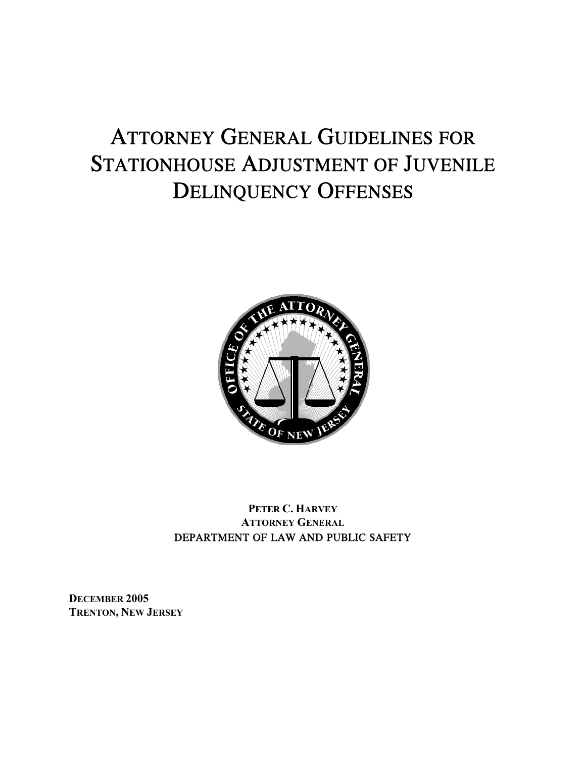# ATTORNEY GENERAL GUIDELINES FOR STATIONHOUSE ADJUSTMENT OF JUVENILE DELINQUENCY OFFENSES



### **PETER C. HARVEY ATTORNEY GENERAL** DEPARTMENT OF LAW AND PUBLIC SAFETY

**DECEMBER 2005 TRENTON, NEW JERSEY**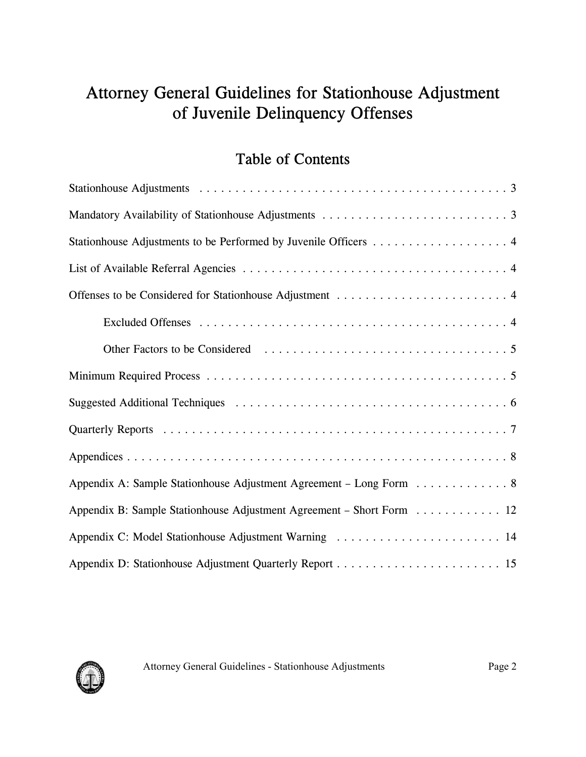# Attorney General Guidelines for Stationhouse Adjustment of Juvenile Delinquency Offenses

# Table of Contents

| Appendix A: Sample Stationhouse Adjustment Agreement - Long Form 8   |  |  |  |  |  |  |  |  |
|----------------------------------------------------------------------|--|--|--|--|--|--|--|--|
| Appendix B: Sample Stationhouse Adjustment Agreement - Short Form 12 |  |  |  |  |  |  |  |  |
| Appendix C: Model Stationhouse Adjustment Warning  14                |  |  |  |  |  |  |  |  |
|                                                                      |  |  |  |  |  |  |  |  |

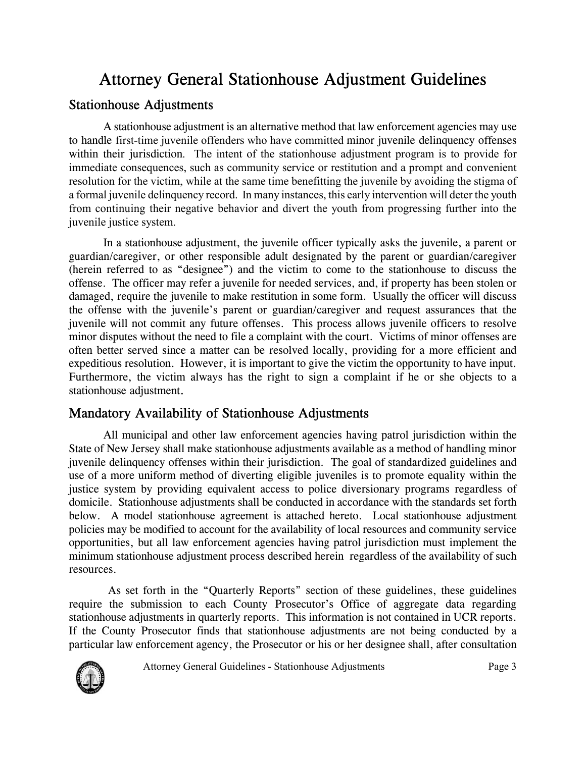# Attorney General Stationhouse Adjustment Guidelines

### Stationhouse Adjustments

A stationhouse adjustment is an alternative method that law enforcement agencies may use to handle first-time juvenile offenders who have committed minor juvenile delinquency offenses within their jurisdiction. The intent of the stationhouse adjustment program is to provide for immediate consequences, such as community service or restitution and a prompt and convenient resolution for the victim, while at the same time benefitting the juvenile by avoiding the stigma of a formal juvenile delinquency record. In many instances, this early intervention will deter the youth from continuing their negative behavior and divert the youth from progressing further into the juvenile justice system.

In a stationhouse adjustment, the juvenile officer typically asks the juvenile, a parent or guardian/caregiver, or other responsible adult designated by the parent or guardian/caregiver (herein referred to as "designee") and the victim to come to the stationhouse to discuss the offense. The officer may refer a juvenile for needed services, and, if property has been stolen or damaged, require the juvenile to make restitution in some form. Usually the officer will discuss the offense with the juvenile's parent or guardian/caregiver and request assurances that the juvenile will not commit any future offenses. This process allows juvenile officers to resolve minor disputes without the need to file a complaint with the court. Victims of minor offenses are often better served since a matter can be resolved locally, providing for a more efficient and expeditious resolution. However, it is important to give the victim the opportunity to have input. Furthermore, the victim always has the right to sign a complaint if he or she objects to a stationhouse adjustment.

### Mandatory Availability of Stationhouse Adjustments

All municipal and other law enforcement agencies having patrol jurisdiction within the State of New Jersey shall make stationhouse adjustments available as a method of handling minor juvenile delinquency offenses within their jurisdiction. The goal of standardized guidelines and use of a more uniform method of diverting eligible juveniles is to promote equality within the justice system by providing equivalent access to police diversionary programs regardless of domicile. Stationhouse adjustments shall be conducted in accordance with the standards set forth below. A model stationhouse agreement is attached hereto. Local stationhouse adjustment policies may be modified to account for the availability of local resources and community service opportunities, but all law enforcement agencies having patrol jurisdiction must implement the minimum stationhouse adjustment process described herein regardless of the availability of such resources.

 As set forth in the "Quarterly Reports" section of these guidelines, these guidelines require the submission to each County Prosecutor's Office of aggregate data regarding stationhouse adjustments in quarterly reports. This information is not contained in UCR reports. If the County Prosecutor finds that stationhouse adjustments are not being conducted by a particular law enforcement agency, the Prosecutor or his or her designee shall, after consultation

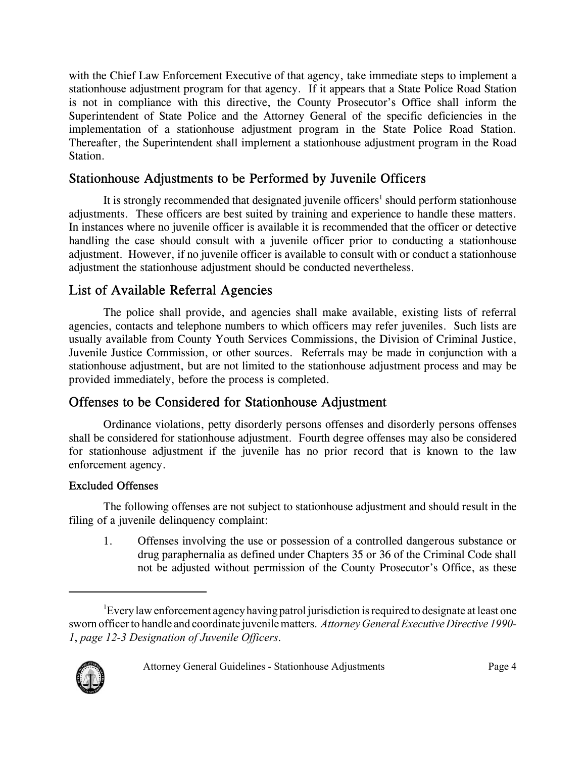with the Chief Law Enforcement Executive of that agency, take immediate steps to implement a stationhouse adjustment program for that agency. If it appears that a State Police Road Station is not in compliance with this directive, the County Prosecutor's Office shall inform the Superintendent of State Police and the Attorney General of the specific deficiencies in the implementation of a stationhouse adjustment program in the State Police Road Station. Thereafter, the Superintendent shall implement a stationhouse adjustment program in the Road Station.

### Stationhouse Adjustments to be Performed by Juvenile Officers

It is strongly recommended that designated juvenile officers<sup>1</sup> should perform stationhouse adjustments. These officers are best suited by training and experience to handle these matters. In instances where no juvenile officer is available it is recommended that the officer or detective handling the case should consult with a juvenile officer prior to conducting a stationhouse adjustment. However, if no juvenile officer is available to consult with or conduct a stationhouse adjustment the stationhouse adjustment should be conducted nevertheless.

# List of Available Referral Agencies

The police shall provide, and agencies shall make available, existing lists of referral agencies, contacts and telephone numbers to which officers may refer juveniles. Such lists are usually available from County Youth Services Commissions, the Division of Criminal Justice, Juvenile Justice Commission, or other sources. Referrals may be made in conjunction with a stationhouse adjustment, but are not limited to the stationhouse adjustment process and may be provided immediately, before the process is completed.

## Offenses to be Considered for Stationhouse Adjustment

Ordinance violations, petty disorderly persons offenses and disorderly persons offenses shall be considered for stationhouse adjustment. Fourth degree offenses may also be considered for stationhouse adjustment if the juvenile has no prior record that is known to the law enforcement agency.

### Excluded Offenses

The following offenses are not subject to stationhouse adjustment and should result in the filing of a juvenile delinquency complaint:

1. Offenses involving the use or possession of a controlled dangerous substance or drug paraphernalia as defined under Chapters 35 or 36 of the Criminal Code shall not be adjusted without permission of the County Prosecutor's Office, as these

<sup>&</sup>lt;sup>1</sup>Every law enforcement agency having patrol jurisdiction is required to designate at least one sworn officer to handle and coordinate juvenile matters. *Attorney General Executive Directive 1990- 1*, *page 12-3 Designation of Juvenile Officers*.

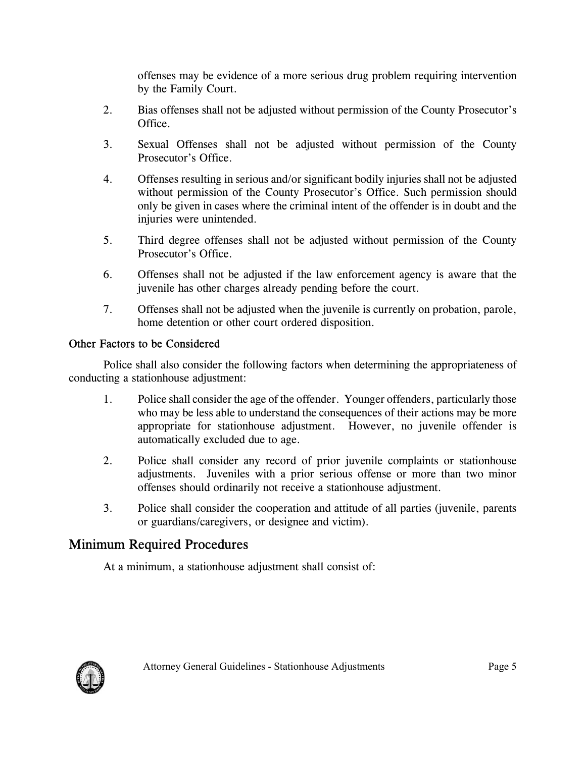offenses may be evidence of a more serious drug problem requiring intervention by the Family Court.

- 2. Bias offenses shall not be adjusted without permission of the County Prosecutor's **Office**
- 3. Sexual Offenses shall not be adjusted without permission of the County Prosecutor's Office.
- 4. Offenses resulting in serious and/or significant bodily injuries shall not be adjusted without permission of the County Prosecutor's Office. Such permission should only be given in cases where the criminal intent of the offender is in doubt and the injuries were unintended.
- 5. Third degree offenses shall not be adjusted without permission of the County Prosecutor's Office.
- 6. Offenses shall not be adjusted if the law enforcement agency is aware that the juvenile has other charges already pending before the court.
- 7. Offenses shall not be adjusted when the juvenile is currently on probation, parole, home detention or other court ordered disposition.

### Other Factors to be Considered

Police shall also consider the following factors when determining the appropriateness of conducting a stationhouse adjustment:

- 1. Police shall consider the age of the offender. Younger offenders, particularly those who may be less able to understand the consequences of their actions may be more appropriate for stationhouse adjustment. However, no juvenile offender is automatically excluded due to age.
- 2. Police shall consider any record of prior juvenile complaints or stationhouse adjustments. Juveniles with a prior serious offense or more than two minor offenses should ordinarily not receive a stationhouse adjustment.
- 3. Police shall consider the cooperation and attitude of all parties (juvenile, parents or guardians/caregivers, or designee and victim).

### Minimum Required Procedures

At a minimum, a stationhouse adjustment shall consist of:

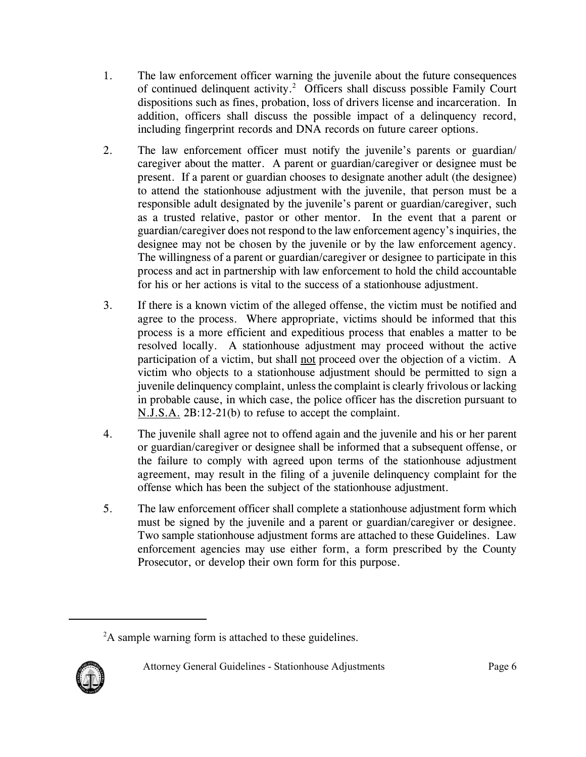- 1. The law enforcement officer warning the juvenile about the future consequences of continued delinquent activity.<sup>2</sup> Officers shall discuss possible Family Court dispositions such as fines, probation, loss of drivers license and incarceration. In addition, officers shall discuss the possible impact of a delinquency record, including fingerprint records and DNA records on future career options.
- 2. The law enforcement officer must notify the juvenile's parents or guardian/ caregiver about the matter. A parent or guardian/caregiver or designee must be present. If a parent or guardian chooses to designate another adult (the designee) to attend the stationhouse adjustment with the juvenile, that person must be a responsible adult designated by the juvenile's parent or guardian/caregiver, such as a trusted relative, pastor or other mentor. In the event that a parent or guardian/caregiver does not respond to the law enforcement agency's inquiries, the designee may not be chosen by the juvenile or by the law enforcement agency. The willingness of a parent or guardian/caregiver or designee to participate in this process and act in partnership with law enforcement to hold the child accountable for his or her actions is vital to the success of a stationhouse adjustment.
- 3. If there is a known victim of the alleged offense, the victim must be notified and agree to the process. Where appropriate, victims should be informed that this process is a more efficient and expeditious process that enables a matter to be resolved locally. A stationhouse adjustment may proceed without the active participation of a victim, but shall not proceed over the objection of a victim. A victim who objects to a stationhouse adjustment should be permitted to sign a juvenile delinquency complaint, unless the complaint is clearly frivolous or lacking in probable cause, in which case, the police officer has the discretion pursuant to N.J.S.A. 2B:12-21(b) to refuse to accept the complaint.
- 4. The juvenile shall agree not to offend again and the juvenile and his or her parent or guardian/caregiver or designee shall be informed that a subsequent offense, or the failure to comply with agreed upon terms of the stationhouse adjustment agreement, may result in the filing of a juvenile delinquency complaint for the offense which has been the subject of the stationhouse adjustment.
- 5. The law enforcement officer shall complete a stationhouse adjustment form which must be signed by the juvenile and a parent or guardian/caregiver or designee. Two sample stationhouse adjustment forms are attached to these Guidelines. Law enforcement agencies may use either form, a form prescribed by the County Prosecutor, or develop their own form for this purpose.

<sup>&</sup>lt;sup>2</sup>A sample warning form is attached to these guidelines.

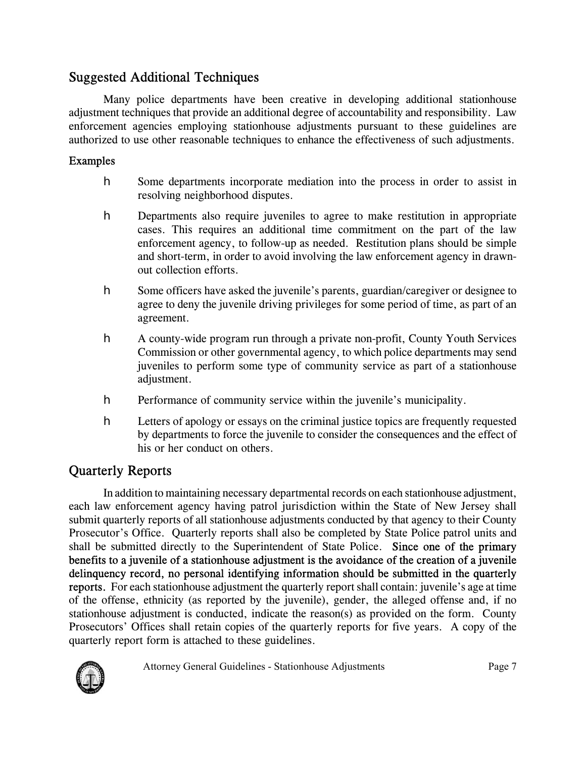### Suggested Additional Techniques

Many police departments have been creative in developing additional stationhouse adjustment techniques that provide an additional degree of accountability and responsibility. Law enforcement agencies employing stationhouse adjustments pursuant to these guidelines are authorized to use other reasonable techniques to enhance the effectiveness of such adjustments.

#### Examples

- **h** Some departments incorporate mediation into the process in order to assist in resolving neighborhood disputes.
- **h** Departments also require juveniles to agree to make restitution in appropriate cases. This requires an additional time commitment on the part of the law enforcement agency, to follow-up as needed. Restitution plans should be simple and short-term, in order to avoid involving the law enforcement agency in drawnout collection efforts.
- **h** Some officers have asked the juvenile's parents, guardian/caregiver or designee to agree to deny the juvenile driving privileges for some period of time, as part of an agreement.
- h A county-wide program run through a private non-profit, County Youth Services Commission or other governmental agency, to which police departments may send juveniles to perform some type of community service as part of a stationhouse adjustment.
- **h** Performance of community service within the juvenile's municipality.
- **h** Letters of apology or essays on the criminal justice topics are frequently requested by departments to force the juvenile to consider the consequences and the effect of his or her conduct on others.

## Quarterly Reports

In addition to maintaining necessary departmental records on each stationhouse adjustment, each law enforcement agency having patrol jurisdiction within the State of New Jersey shall submit quarterly reports of all stationhouse adjustments conducted by that agency to their County Prosecutor's Office. Quarterly reports shall also be completed by State Police patrol units and shall be submitted directly to the Superintendent of State Police. Since one of the primary benefits to a juvenile of a stationhouse adjustment is the avoidance of the creation of a juvenile delinquency record, no personal identifying information should be submitted in the quarterly reports. For each stationhouse adjustment the quarterly report shall contain: juvenile's age at time of the offense, ethnicity (as reported by the juvenile), gender, the alleged offense and, if no stationhouse adjustment is conducted, indicate the reason(s) as provided on the form. County Prosecutors' Offices shall retain copies of the quarterly reports for five years. A copy of the quarterly report form is attached to these guidelines.

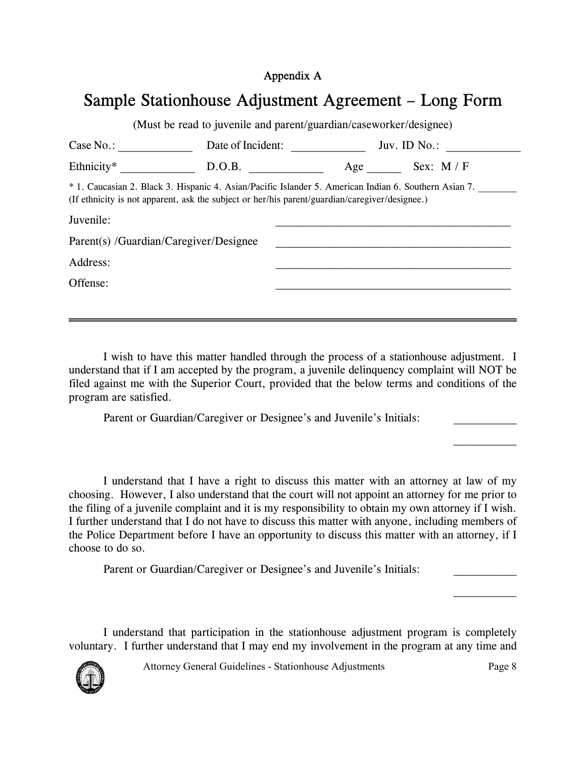#### Appendix A

# Sample Stationhouse Adjustment Agreement – Long Form

| Case No.:                              | Date of Incident:                                                                                                                                                                                       | Juv. ID $No.$ : |
|----------------------------------------|---------------------------------------------------------------------------------------------------------------------------------------------------------------------------------------------------------|-----------------|
| Ethnicity <sup>*</sup>                 | D.O.B.                                                                                                                                                                                                  | Age Sex: M / F  |
|                                        | * 1. Caucasian 2. Black 3. Hispanic 4. Asian/Pacific Islander 5. American Indian 6. Southern Asian 7.<br>(If ethnicity is not apparent, ask the subject or her/his parent/guardian/caregiver/designee.) |                 |
| Juvenile:                              |                                                                                                                                                                                                         |                 |
|                                        |                                                                                                                                                                                                         |                 |
| Parent(s) /Guardian/Caregiver/Designee |                                                                                                                                                                                                         |                 |
| Address:                               |                                                                                                                                                                                                         |                 |

I wish to have this matter handled through the process of a stationhouse adjustment. I understand that if I am accepted by the program, a juvenile delinquency complaint will NOT be filed against me with the Superior Court, provided that the below terms and conditions of the program are satisfied.

Parent or Guardian/Caregiver or Designee's and Juvenile's Initials:

I understand that I have a right to discuss this matter with an attorney at law of my choosing. However, I also understand that the court will not appoint an attorney for me prior to the filing of a juvenile complaint and it is my responsibility to obtain my own attorney if I wish. I further understand that I do not have to discuss this matter with anyone, including members of the Police Department before I have an opportunity to discuss this matter with an attorney, if I choose to do so.

Parent or Guardian/Caregiver or Designee's and Juvenile's Initials:

I understand that participation in the stationhouse adjustment program is completely voluntary. I further understand that I may end my involvement in the program at any time and

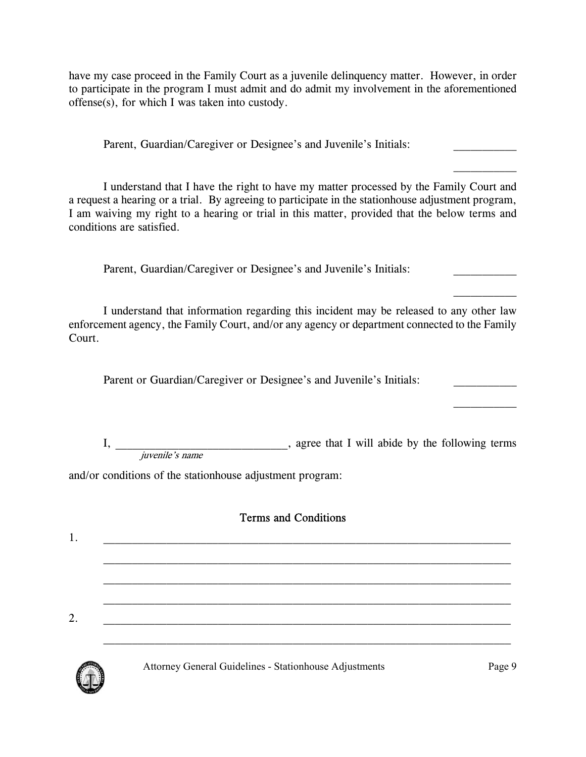have my case proceed in the Family Court as a juvenile delinquency matter. However, in order to participate in the program I must admit and do admit my involvement in the aforementioned offense(s), for which I was taken into custody.

Parent, Guardian/Caregiver or Designee's and Juvenile's Initials:

I understand that I have the right to have my matter processed by the Family Court and a request a hearing or a trial. By agreeing to participate in the stationhouse adjustment program, I am waiving my right to a hearing or trial in this matter, provided that the below terms and conditions are satisfied.

Parent, Guardian/Caregiver or Designee's and Juvenile's Initials:

I understand that information regarding this incident may be released to any other law enforcement agency, the Family Court, and/or any agency or department connected to the Family Court.

Parent or Guardian/Caregiver or Designee's and Juvenile's Initials:

I, agree that I will abide by the following terms juvenile's name

and/or conditions of the stationhouse adjustment program:

### Terms and Conditions

| 2. |  |  |  |
|----|--|--|--|
|    |  |  |  |



Attorney General Guidelines - Stationhouse Adjustments Page 9

 $\frac{1}{2}$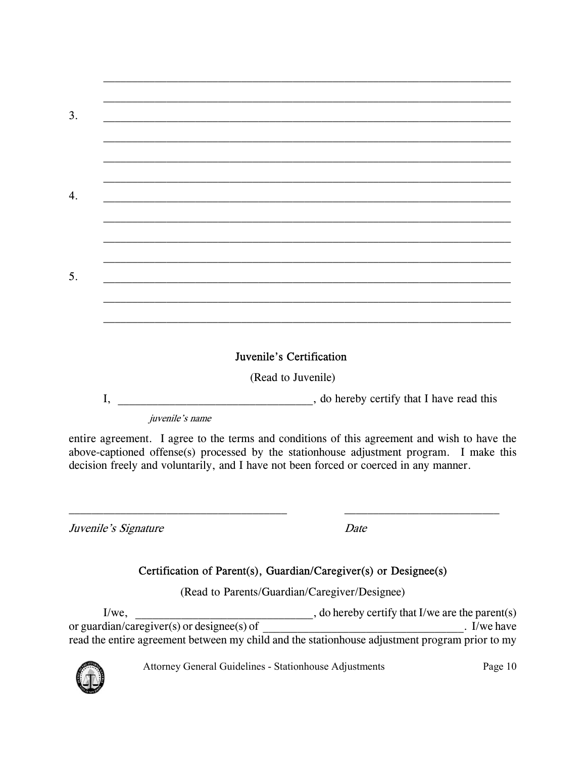| 3. |  |  |
|----|--|--|
|    |  |  |
|    |  |  |
|    |  |  |
| 4. |  |  |
|    |  |  |
|    |  |  |
|    |  |  |
| 5. |  |  |
|    |  |  |
|    |  |  |
|    |  |  |

#### Juvenile's Certification

(Read to Juvenile)

I, \_\_\_\_\_\_\_\_\_\_\_\_\_\_\_\_\_\_\_\_\_\_\_\_\_\_\_\_\_\_\_\_, do hereby certify that I have read this

juvenile's name

entire agreement. I agree to the terms and conditions of this agreement and wish to have the above-captioned offense(s) processed by the stationhouse adjustment program. I make this decision freely and voluntarily, and I have not been forced or coerced in any manner.

 $\mathcal{L}_\text{max} = \frac{1}{2} \sum_{i=1}^n \mathcal{L}_\text{max}(\mathbf{z}_i - \mathbf{z}_i)$ 

Juvenile's Signature Date

### Certification of Parent(s), Guardian/Caregiver(s) or Designee(s)

(Read to Parents/Guardian/Caregiver/Designee)

I/we, \_\_\_\_\_\_\_\_\_\_\_\_\_\_\_\_\_\_\_\_\_\_\_\_\_\_\_\_\_\_\_, do hereby certify that I/we are the parent(s) or guardian/caregiver(s) or designee(s) of  $\blacksquare$ read the entire agreement between my child and the stationhouse adjustment program prior to my

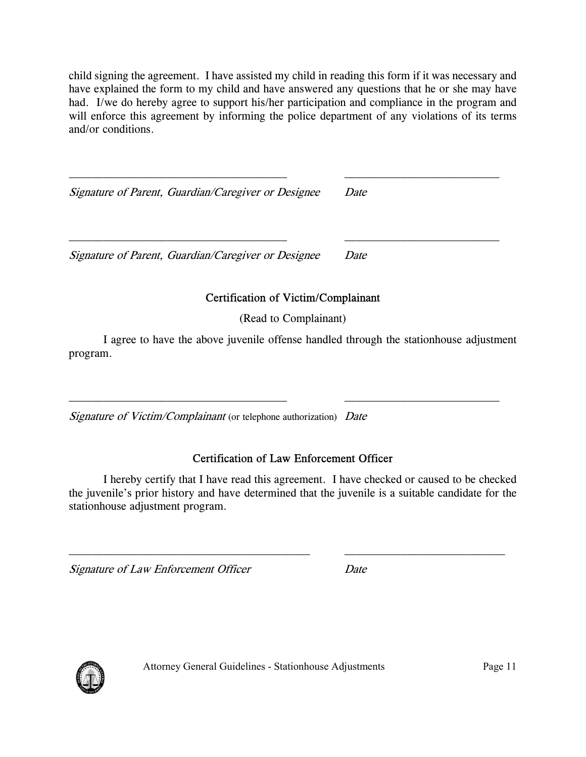child signing the agreement. I have assisted my child in reading this form if it was necessary and have explained the form to my child and have answered any questions that he or she may have had. I/we do hereby agree to support his/her participation and compliance in the program and will enforce this agreement by informing the police department of any violations of its terms and/or conditions.

 $\mathcal{L}_\text{max} = \frac{1}{2} \sum_{i=1}^n \mathcal{L}_\text{max}(\mathbf{z}_i - \mathbf{z}_i)$ 

 $\mathcal{L}_\text{max} = \frac{1}{2} \sum_{i=1}^n \mathcal{L}_\text{max}(\mathbf{z}_i - \mathbf{z}_i)$ 

Signature of Parent, Guardian/Caregiver or Designee Date

Signature of Parent, Guardian/Caregiver or Designee Date

### Certification of Victim/Complainant

(Read to Complainant)

I agree to have the above juvenile offense handled through the stationhouse adjustment program.

Signature of Victim/Complainant (or telephone authorization) Date

#### Certification of Law Enforcement Officer

I hereby certify that I have read this agreement. I have checked or caused to be checked the juvenile's prior history and have determined that the juvenile is a suitable candidate for the stationhouse adjustment program.

 $\_$  , and the set of the set of the set of the set of the set of the set of the set of the set of the set of the set of the set of the set of the set of the set of the set of the set of the set of the set of the set of th

Signature of Law Enforcement Officer Date

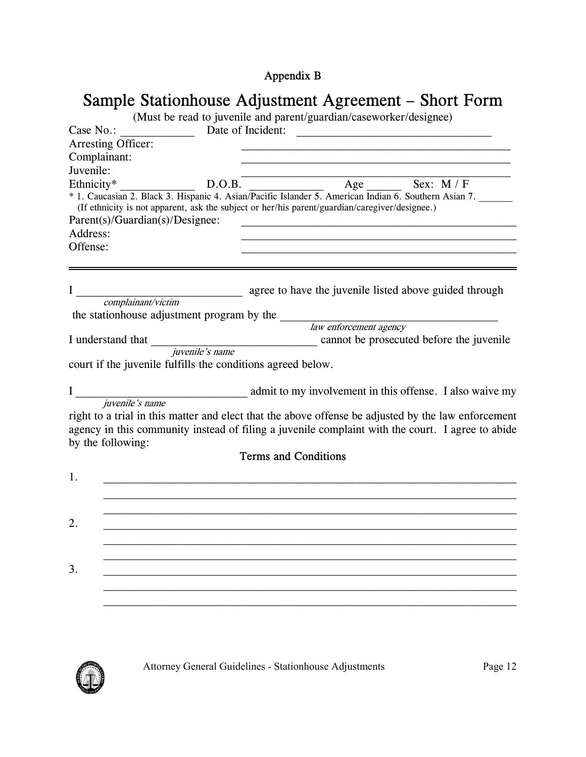# Appendix B

| Sample Stationhouse Adjustment Agreement – Short Form              |                                                                                                |                   |                             |                        |                                                                                                                                                                                                         |
|--------------------------------------------------------------------|------------------------------------------------------------------------------------------------|-------------------|-----------------------------|------------------------|---------------------------------------------------------------------------------------------------------------------------------------------------------------------------------------------------------|
| (Must be read to juvenile and parent/guardian/caseworker/designee) |                                                                                                |                   |                             |                        |                                                                                                                                                                                                         |
| Case No.:                                                          |                                                                                                | Date of Incident: |                             |                        |                                                                                                                                                                                                         |
|                                                                    | Arresting Officer:                                                                             |                   |                             |                        |                                                                                                                                                                                                         |
| Complainant:                                                       |                                                                                                |                   |                             |                        |                                                                                                                                                                                                         |
| Juvenile:                                                          |                                                                                                |                   |                             |                        |                                                                                                                                                                                                         |
| Ethnicity*                                                         | (If ethnicity is not apparent, ask the subject or her/his parent/guardian/caregiver/designee.) | D.O.B.            |                             | Age                    | Sex: $M / F$<br>* 1. Caucasian 2. Black 3. Hispanic 4. Asian/Pacific Islander 5. American Indian 6. Southern Asian 7.                                                                                   |
|                                                                    | Parent(s)/Guardian(s)/Designee:                                                                |                   |                             |                        |                                                                                                                                                                                                         |
| Address:                                                           |                                                                                                |                   |                             |                        |                                                                                                                                                                                                         |
| Offense:                                                           |                                                                                                |                   |                             |                        |                                                                                                                                                                                                         |
|                                                                    |                                                                                                |                   |                             |                        | agree to have the juvenile listed above guided through                                                                                                                                                  |
|                                                                    | complainant/victim                                                                             |                   |                             |                        |                                                                                                                                                                                                         |
|                                                                    | the stationhouse adjustment program by the                                                     |                   |                             |                        |                                                                                                                                                                                                         |
|                                                                    |                                                                                                |                   |                             | law enforcement agency |                                                                                                                                                                                                         |
|                                                                    | I understand that <i>juvenile's name</i>                                                       |                   |                             |                        | cannot be prosecuted before the juvenile                                                                                                                                                                |
|                                                                    |                                                                                                |                   |                             |                        |                                                                                                                                                                                                         |
|                                                                    | court if the juvenile fulfills the conditions agreed below.                                    |                   |                             |                        |                                                                                                                                                                                                         |
|                                                                    |                                                                                                |                   |                             |                        | admit to my involvement in this offense. I also waive my                                                                                                                                                |
|                                                                    | juvenile's name                                                                                |                   |                             |                        |                                                                                                                                                                                                         |
|                                                                    |                                                                                                |                   |                             |                        | right to a trial in this matter and elect that the above offense be adjusted by the law enforcement<br>agency in this community instead of filing a juvenile complaint with the court. I agree to abide |
|                                                                    | by the following:                                                                              |                   |                             |                        |                                                                                                                                                                                                         |
|                                                                    |                                                                                                |                   | <b>Terms and Conditions</b> |                        |                                                                                                                                                                                                         |
| 1.                                                                 |                                                                                                |                   |                             |                        |                                                                                                                                                                                                         |
|                                                                    |                                                                                                |                   |                             |                        |                                                                                                                                                                                                         |
|                                                                    |                                                                                                |                   |                             |                        |                                                                                                                                                                                                         |
|                                                                    |                                                                                                |                   |                             |                        |                                                                                                                                                                                                         |
| 3.                                                                 |                                                                                                |                   |                             |                        |                                                                                                                                                                                                         |
|                                                                    |                                                                                                |                   |                             |                        |                                                                                                                                                                                                         |
|                                                                    |                                                                                                |                   |                             |                        |                                                                                                                                                                                                         |

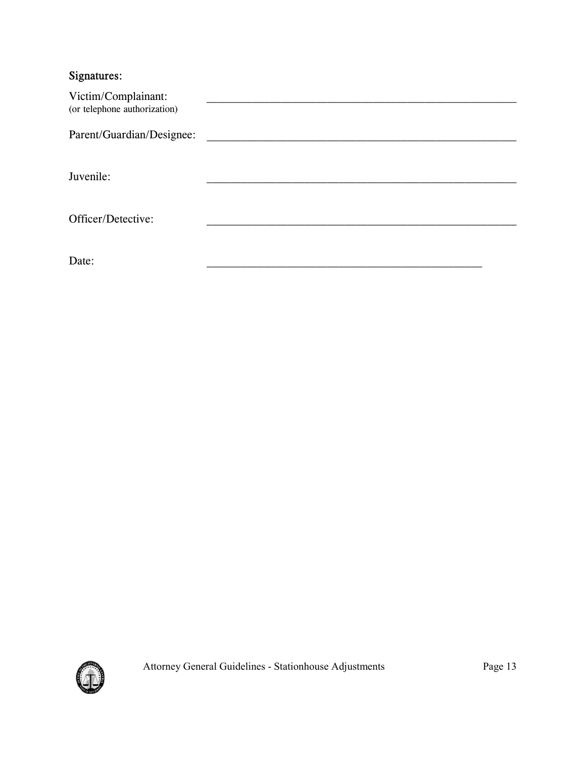### Signatures:

| Victim/Complainant:<br>(or telephone authorization) |  |
|-----------------------------------------------------|--|
| Parent/Guardian/Designee:                           |  |
| Juvenile:                                           |  |
| Officer/Detective:                                  |  |
| Date:                                               |  |

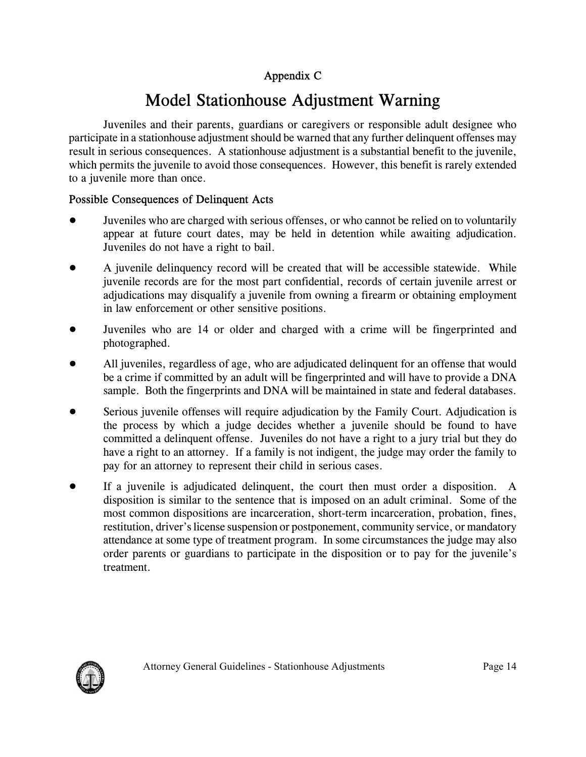### Appendix C

# Model Stationhouse Adjustment Warning

Juveniles and their parents, guardians or caregivers or responsible adult designee who participate in a stationhouse adjustment should be warned that any further delinquent offenses may result in serious consequences. A stationhouse adjustment is a substantial benefit to the juvenile, which permits the juvenile to avoid those consequences. However, this benefit is rarely extended to a juvenile more than once.

### Possible Consequences of Delinquent Acts

- ! Juveniles who are charged with serious offenses, or who cannot be relied on to voluntarily appear at future court dates, may be held in detention while awaiting adjudication. Juveniles do not have a right to bail.
- A juvenile delinquency record will be created that will be accessible statewide. While juvenile records are for the most part confidential, records of certain juvenile arrest or adjudications may disqualify a juvenile from owning a firearm or obtaining employment in law enforcement or other sensitive positions.
- ! Juveniles who are 14 or older and charged with a crime will be fingerprinted and photographed.
- All juveniles, regardless of age, who are adjudicated delinquent for an offense that would be a crime if committed by an adult will be fingerprinted and will have to provide a DNA sample. Both the fingerprints and DNA will be maintained in state and federal databases.
- Serious juvenile offenses will require adjudication by the Family Court. Adjudication is the process by which a judge decides whether a juvenile should be found to have committed a delinquent offense. Juveniles do not have a right to a jury trial but they do have a right to an attorney. If a family is not indigent, the judge may order the family to pay for an attorney to represent their child in serious cases.
- ! If a juvenile is adjudicated delinquent, the court then must order a disposition. A disposition is similar to the sentence that is imposed on an adult criminal. Some of the most common dispositions are incarceration, short-term incarceration, probation, fines, restitution, driver's license suspension or postponement, community service, or mandatory attendance at some type of treatment program. In some circumstances the judge may also order parents or guardians to participate in the disposition or to pay for the juvenile's treatment.

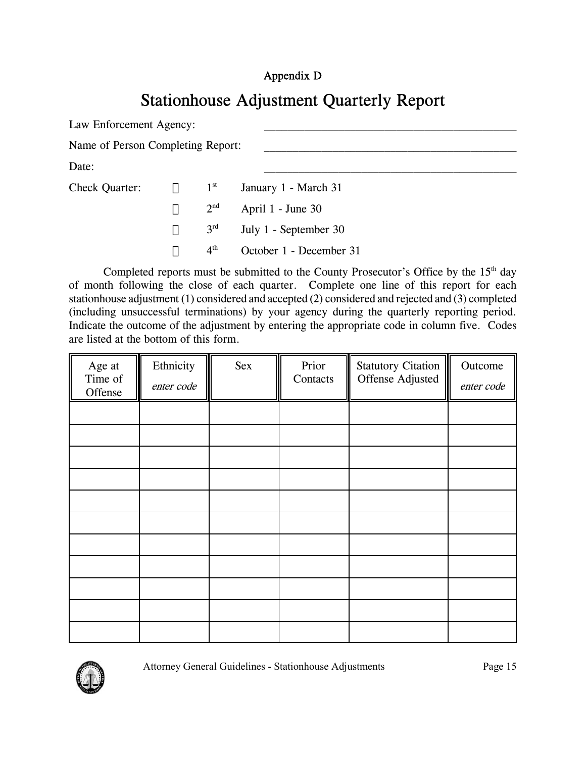### Appendix D

# Stationhouse Adjustment Quarterly Report

Law Enforcement Agency:

Name of Person Completing Report:

 $Date:$ 

Check Quarter:  $1^{st}$  January 1 - March 31  $2<sup>nd</sup>$  April 1 - June 30  $3<sup>rd</sup>$  July 1 - September 30 4th October 1 - December 31

Completed reports must be submitted to the County Prosecutor's Office by the  $15<sup>th</sup>$  day of month following the close of each quarter. Complete one line of this report for each stationhouse adjustment (1) considered and accepted (2) considered and rejected and (3) completed (including unsuccessful terminations) by your agency during the quarterly reporting period. Indicate the outcome of the adjustment by entering the appropriate code in column five. Codes are listed at the bottom of this form.

| Age at<br>Time of<br>Offense | Ethnicity<br>enter code | Sex | Prior<br>Contacts | Statutory Citation<br>Offense Adjusted | Outcome<br>enter code |
|------------------------------|-------------------------|-----|-------------------|----------------------------------------|-----------------------|
|                              |                         |     |                   |                                        |                       |
|                              |                         |     |                   |                                        |                       |
|                              |                         |     |                   |                                        |                       |
|                              |                         |     |                   |                                        |                       |
|                              |                         |     |                   |                                        |                       |
|                              |                         |     |                   |                                        |                       |
|                              |                         |     |                   |                                        |                       |
|                              |                         |     |                   |                                        |                       |
|                              |                         |     |                   |                                        |                       |
|                              |                         |     |                   |                                        |                       |
|                              |                         |     |                   |                                        |                       |